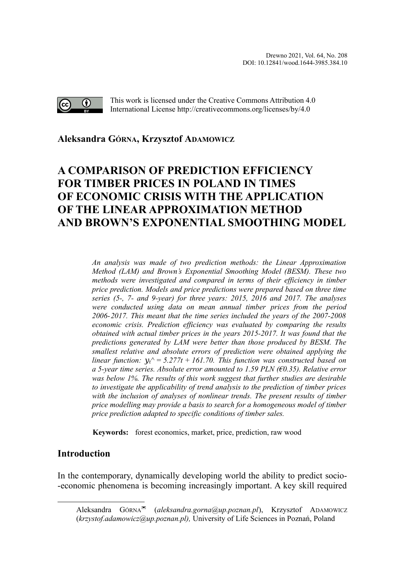

This work is licensed under the Creative Commons Attribution 4.0 International License http://creativecommons.org/licenses/by/4.0

## **Aleksandra GÓRNA, Krzysztof ADAMOWIC[Z](#page-0-0)**

# **A COMPARISON OF PREDICTION EFFICIENCY FOR TIMBER PRICES IN POLAND IN TIMES OF ECONOMIC CRISIS WITH THE APPLICATION OF THE LINEAR APPROXIMATION METHOD AND BROWN'S EXPONENTIAL SMOOTHING MODEL**

*An analysis was made of two prediction methods: the Linear Approximation Method (LAM) and Brown's Exponential Smoothing Model (BESM). These two methods were investigated and compared in terms of their efficiency in timber price prediction. Models and price predictions were prepared based on three time series (5-, 7- and 9-year) for three years: 2015, 2016 and 2017. The analyses were conducted using data on mean annual timber prices from the period 2006-2017. This meant that the time series included the years of the 2007-2008 economic crisis. Prediction efficiency was evaluated by comparing the results obtained with actual timber prices in the years 2015-2017. It was found that the predictions generated by LAM were better than those produced by BESM. The smallest relative and absolute errors of prediction were obtained applying the linear function:*  $y_t^2 = 5.277t + 161.70$ . This function was constructed based on *a 5-year time series. Absolute error amounted to 1.59 PLN (€0.35). Relative error was below 1%. The results of this work suggest that further studies are desirable to investigate the applicability of trend analysis to the prediction of timber prices with the inclusion of analyses of nonlinear trends. The present results of timber price modelling may provide a basis to search for a homogeneous model of timber price prediction adapted to specific conditions of timber sales.*

**Keywords:** forest economics, market, price, prediction, raw wood

# **Introduction**

In the contemporary, dynamically developing world the ability to predict socio- -economic phenomena is becoming increasingly important. A key skill required

<span id="page-0-0"></span>Aleksandra GÓRNA<sup>∞</sup> (*aleksandra.gorna@up.poznan.pl*), Krzysztof ADAMOWICZ (*krzystof.adamowicz@up.poznan.pl),* University of Life Sciences in Poznań, Poland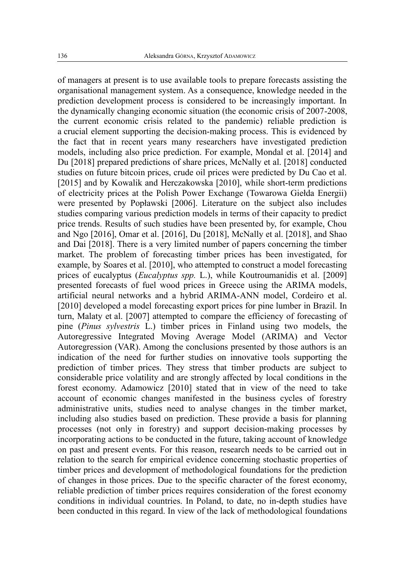of managers at present is to use available tools to prepare forecasts assisting the organisational management system. As a consequence, knowledge needed in the prediction development process is considered to be increasingly important. In the dynamically changing economic situation (the economic crisis of 2007-2008, the current economic crisis related to the pandemic) reliable prediction is a crucial element supporting the decision-making process. This is evidenced by the fact that in recent years many researchers have investigated prediction models, including also price prediction. For example, Mondal et al. [2014] and Du [2018] prepared predictions of share prices, McNally et al. [2018] conducted studies on future bitcoin prices, crude oil prices were predicted by Du Cao et al. [2015] and by Kowalik and Herczakowska [2010], while short-term predictions of electricity prices at the Polish Power Exchange (Towarowa Giełda Energii) were presented by Popławski [2006]. Literature on the subject also includes studies comparing various prediction models in terms of their capacity to predict price trends. Results of such studies have been presented by, for example, Chou and Ngo [2016], Omar et al. [2016], Du [2018], McNally et al. [2018], and Shao and Dai [2018]. There is a very limited number of papers concerning the timber market. The problem of forecasting timber prices has been investigated, for example, by Soares et al. [2010], who attempted to construct a model forecasting prices of eucalyptus (*Eucalyptus spp.* L.), while Koutroumanidis et al. [2009] presented forecasts of fuel wood prices in Greece using the ARIMA models, artificial neural networks and a hybrid ARIMA-ANN model, Cordeiro et al. [2010] developed a model forecasting export prices for pine lumber in Brazil. In turn, Malaty et al. [2007] attempted to compare the efficiency of forecasting of pine (*Pinus sylvestris* L.) timber prices in Finland using two models, the Autoregressive Integrated Moving Average Model (ARIMA) and Vector Autoregression (VAR). Among the conclusions presented by those authors is an indication of the need for further studies on innovative tools supporting the prediction of timber prices. They stress that timber products are subject to considerable price volatility and are strongly affected by local conditions in the forest economy. Adamowicz [2010] stated that in view of the need to take account of economic changes manifested in the business cycles of forestry administrative units, studies need to analyse changes in the timber market, including also studies based on prediction. These provide a basis for planning processes (not only in forestry) and support decision-making processes by incorporating actions to be conducted in the future, taking account of knowledge on past and present events. For this reason, research needs to be carried out in relation to the search for empirical evidence concerning stochastic properties of timber prices and development of methodological foundations for the prediction of changes in those prices. Due to the specific character of the forest economy, reliable prediction of timber prices requires consideration of the forest economy conditions in individual countries. In Poland, to date, no in-depth studies have been conducted in this regard. In view of the lack of methodological foundations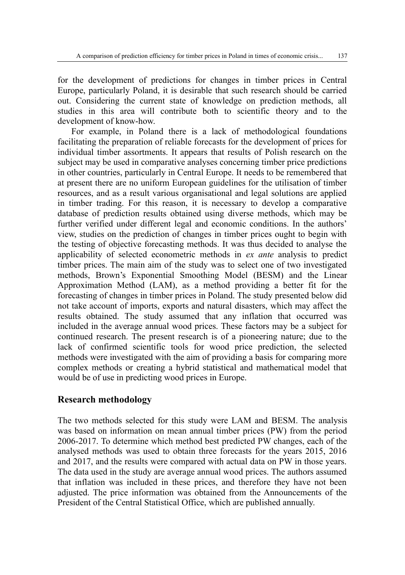for the development of predictions for changes in timber prices in Central Europe, particularly Poland, it is desirable that such research should be carried out. Considering the current state of knowledge on prediction methods, all studies in this area will contribute both to scientific theory and to the development of know-how.

For example, in Poland there is a lack of methodological foundations facilitating the preparation of reliable forecasts for the development of prices for individual timber assortments. It appears that results of Polish research on the subject may be used in comparative analyses concerning timber price predictions in other countries, particularly in Central Europe. It needs to be remembered that at present there are no uniform European guidelines for the utilisation of timber resources, and as a result various organisational and legal solutions are applied in timber trading. For this reason, it is necessary to develop a comparative database of prediction results obtained using diverse methods, which may be further verified under different legal and economic conditions. In the authors' view, studies on the prediction of changes in timber prices ought to begin with the testing of objective forecasting methods. It was thus decided to analyse the applicability of selected econometric methods in *ex ante* analysis to predict timber prices. The main aim of the study was to select one of two investigated methods, Brown's Exponential Smoothing Model (BESM) and the Linear Approximation Method (LAM), as a method providing a better fit for the forecasting of changes in timber prices in Poland. The study presented below did not take account of imports, exports and natural disasters, which may affect the results obtained. The study assumed that any inflation that occurred was included in the average annual wood prices. These factors may be a subject for continued research. The present research is of a pioneering nature; due to the lack of confirmed scientific tools for wood price prediction, the selected methods were investigated with the aim of providing a basis for comparing more complex methods or creating a hybrid statistical and mathematical model that would be of use in predicting wood prices in Europe.

#### **Research methodology**

The two methods selected for this study were LAM and BESM. The analysis was based on information on mean annual timber prices (PW) from the period 2006-2017. To determine which method best predicted PW changes, each of the analysed methods was used to obtain three forecasts for the years 2015, 2016 and 2017, and the results were compared with actual data on PW in those years. The data used in the study are average annual wood prices. The authors assumed that inflation was included in these prices, and therefore they have not been adjusted. The price information was obtained from the Announcements of the President of the Central Statistical Office, which are published annually.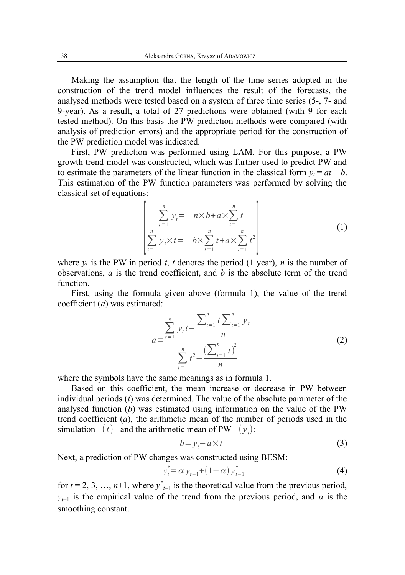Making the assumption that the length of the time series adopted in the construction of the trend model influences the result of the forecasts, the analysed methods were tested based on a system of three time series (5-, 7- and 9-year). As a result, a total of 27 predictions were obtained (with 9 for each tested method). On this basis the PW prediction methods were compared (with analysis of prediction errors) and the appropriate period for the construction of the PW prediction model was indicated.

First, PW prediction was performed using LAM. For this purpose, a PW growth trend model was constructed, which was further used to predict PW and to estimate the parameters of the linear function in the classical form  $y_t = at + b$ . This estimation of the PW function parameters was performed by solving the classical set of equations:

$$
\begin{bmatrix}\n\sum_{t=1}^{n} y_{t} = n \times b + a \times \sum_{t=1}^{n} t \\
\sum_{t=1}^{n} y_{t} \times t = b \times \sum_{t=1}^{n} t + a \times \sum_{t=1}^{n} t^{2}\n\end{bmatrix}
$$
\n(1)

where  $y_t$  is the PW in period  $t$ ,  $t$  denotes the period (1 year),  $n$  is the number of observations,  $a$  is the trend coefficient, and  $b$  is the absolute term of the trend function.

First, using the formula given above (formula 1), the value of the trend coefficient (*a*) was estimated:

$$
a = \frac{\sum_{t=1}^{n} y_t t - \frac{\sum_{t=1}^{n} t \sum_{t=1}^{n} y_t}{n}}{\sum_{t=1}^{n} t^2 - \frac{(\sum_{t=1}^{n} t)^2}{n}}
$$
(2)

where the symbols have the same meanings as in formula 1.

Based on this coefficient, the mean increase or decrease in PW between individual periods (*t*) was determined. The value of the absolute parameter of the analysed function (*b*) was estimated using information on the value of the PW trend coefficient (*a*), the arithmetic mean of the number of periods used in the simulation  $(\bar{t})$  and the arithmetic mean of PW  $(\bar{y}_t)$ :

$$
b = \bar{y}_t - a \times \bar{t} \tag{3}
$$

Next, a prediction of PW changes was constructed using BESM:

$$
y_t^* = \alpha y_{t-1} + (1 - \alpha) y_{t-1}^* \tag{4}
$$

for  $t = 2, 3, \ldots, n+1$ , where  $y^*_{t-1}$  is the theoretical value from the previous period, *y*<sup>*t*</sup>–1</sub> is the empirical value of the trend from the previous period, and *α* is the smoothing constant.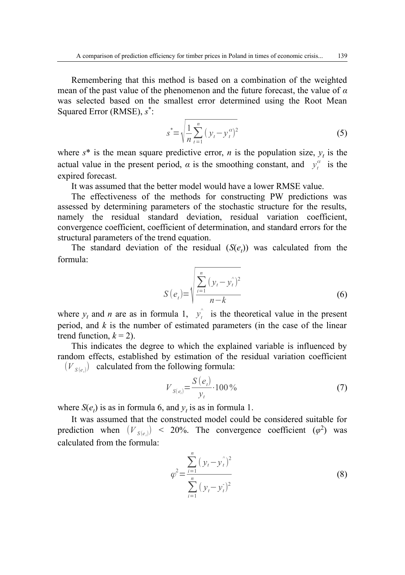Remembering that this method is based on a combination of the weighted mean of the past value of the phenomenon and the future forecast, the value of *α* was selected based on the smallest error determined using the Root Mean Squared Error (RMSE), *s* \* :

$$
s^* = \sqrt{\frac{1}{n} \sum_{t=1}^n (y_t - y_t^{\alpha})^2}
$$
 (5)

where  $s^*$  is the mean square predictive error, *n* is the population size,  $y_t$  is the actual value in the present period,  $\alpha$  is the smoothing constant, and  $y_t^{\alpha}$  is the expired forecast.

It was assumed that the better model would have a lower RMSE value.

The effectiveness of the methods for constructing PW predictions was assessed by determining parameters of the stochastic structure for the results, namely the residual standard deviation, residual variation coefficient, convergence coefficient, coefficient of determination, and standard errors for the structural parameters of the trend equation.

The standard deviation of the residual  $(S(e_t))$  was calculated from the formula:

$$
S(e_{t}) = \sqrt{\frac{\sum_{i=1}^{n} (y_{t} - y_{t}^{2})^{2}}{n - k}}
$$
(6)

where  $y_t$  and *n* are as in formula 1,  $y_t$ <sup> $\hat{y}_t$ </sup> is the theoretical value in the present period, and *k* is the number of estimated parameters (in the case of the linear trend function,  $k = 2$ ).

This indicates the degree to which the explained variable is influenced by random effects, established by estimation of the residual variation coefficient  $(V_{S(e_i)})$  calculated from the following formula:

$$
V_{S(e_i)} = \frac{S(e_i)}{y_i} \cdot 100\,\%
$$
\n(7)

where  $S(e_t)$  is as in formula 6, and  $y_t$  is as in formula 1.

It was assumed that the constructed model could be considered suitable for prediction when  $(V_{S(e_i)})$  < 20%. The convergence coefficient  $(\varphi^2)$  was calculated from the formula:

$$
\varphi^2 = \frac{\sum_{i=1}^n (y_t - y_t^2)^2}{\sum_{i=1}^n (y_t - y_t^2)^2}
$$
\n(8)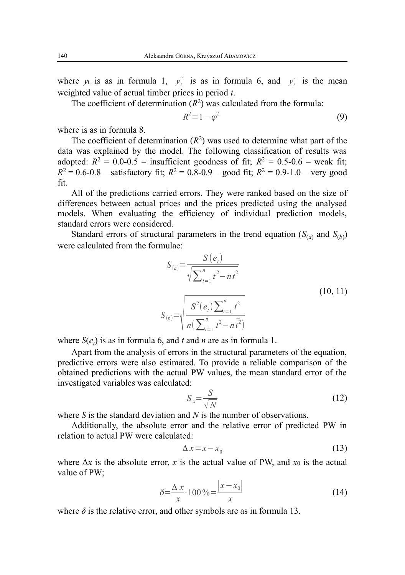where y<sub>t</sub> is as in formula 1,  $y_t^2$  is as in formula 6, and  $y_t^2$  is the mean weighted value of actual timber prices in period *t*.

The coefficient of determination  $(R^2)$  was calculated from the formula:

$$
R^2 = 1 - \varphi^2 \tag{9}
$$

where is as in formula 8.

The coefficient of determination  $(R^2)$  was used to determine what part of the data was explained by the model. The following classification of results was adopted:  $R^2 = 0.0 - 0.5$  – insufficient goodness of fit;  $R^2 = 0.5 - 0.6$  – weak fit;  $R^2 = 0.6$ -0.8 – satisfactory fit;  $R^2 = 0.8$ -0.9 – good fit;  $R^2 = 0.9$ -1.0 – very good fit.

All of the predictions carried errors. They were ranked based on the size of differences between actual prices and the prices predicted using the analysed models. When evaluating the efficiency of individual prediction models, standard errors were considered.

Standard errors of structural parameters in the trend equation  $(S_{(a)}$  and  $S_{(b)}$ ) were calculated from the formulae:

$$
S_{(a)} = \frac{S(e_t)}{\sqrt{\sum_{i=1}^{n} t^2 - n t^2}}
$$
  
\n
$$
S_{(b)} = \sqrt{\frac{S^2(e_t) \sum_{i=1}^{n} t^2}{n(\sum_{i=1}^{n} t^2 - n t^2)}}
$$
\n(10, 11)

where  $S(e_t)$  is as in formula 6, and *t* and *n* are as in formula 1.

Apart from the analysis of errors in the structural parameters of the equation, predictive errors were also estimated. To provide a reliable comparison of the obtained predictions with the actual PW values, the mean standard error of the investigated variables was calculated:

$$
S_x = \frac{S}{\sqrt{N}}\tag{12}
$$

where *S* is the standard deviation and *N* is the number of observations.

Additionally, the absolute error and the relative error of predicted PW in relation to actual PW were calculated:

$$
\Delta x = x - x_0 \tag{13}
$$

where  $\Delta x$  is the absolute error, x is the actual value of PW, and  $x_0$  is the actual value of PW;

$$
\delta = \frac{\Delta x}{x} \cdot 100\% = \frac{|x - x_0|}{x}
$$
 (14)

where  $\delta$  is the relative error, and other symbols are as in formula 13.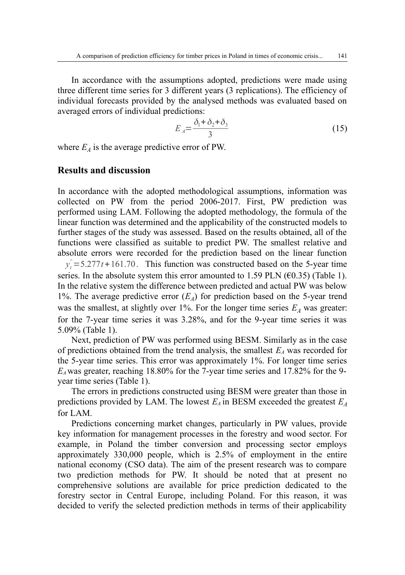In accordance with the assumptions adopted, predictions were made using three different time series for 3 different years (3 replications). The efficiency of individual forecasts provided by the analysed methods was evaluated based on averaged errors of individual predictions:

$$
E_A = \frac{\delta_1 + \delta_2 + \delta_3}{3} \tag{15}
$$

where  $E_A$  is the average predictive error of PW.

#### **Results and discussion**

In accordance with the adopted methodological assumptions, information was collected on PW from the period 2006-2017. First, PW prediction was performed using LAM. Following the adopted methodology, the formula of the linear function was determined and the applicability of the constructed models to further stages of the study was assessed. Based on the results obtained, all of the functions were classified as suitable to predict PW. The smallest relative and absolute errors were recorded for the prediction based on the linear function  $y_t^2 = 5.277t + 161.70$ . This function was constructed based on the 5-year time series. In the absolute system this error amounted to 1.59 PLN ( $\epsilon$ 0.35) (Table 1). In the relative system the difference between predicted and actual PW was below 1%. The average predictive error  $(E_A)$  for prediction based on the 5-year trend was the smallest, at slightly over 1%. For the longer time series  $E_A$  was greater: for the 7-year time series it was 3.28%, and for the 9-year time series it was

5.09% (Table 1).

Next, prediction of PW was performed using BESM. Similarly as in the case of predictions obtained from the trend analysis, the smallest *EA* was recorded for the 5-year time series. This error was approximately 1%. For longer time series *EA* was greater, reaching 18.80% for the 7-year time series and 17.82% for the 9 year time series (Table 1).

The errors in predictions constructed using BESM were greater than those in predictions provided by LAM. The lowest  $E_A$  in BESM exceeded the greatest  $E_A$ for LAM.

Predictions concerning market changes, particularly in PW values, provide key information for management processes in the forestry and wood sector. For example, in Poland the timber conversion and processing sector employs approximately 330,000 people, which is 2.5% of employment in the entire national economy (CSO data). The aim of the present research was to compare two prediction methods for PW. It should be noted that at present no comprehensive solutions are available for price prediction dedicated to the forestry sector in Central Europe, including Poland. For this reason, it was decided to verify the selected prediction methods in terms of their applicability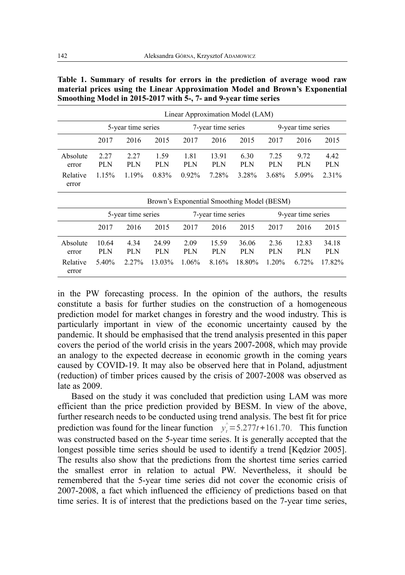|                   | Linear Approximation Model (LAM)           |             |              |                    |                     |              |                    |              |              |
|-------------------|--------------------------------------------|-------------|--------------|--------------------|---------------------|--------------|--------------------|--------------|--------------|
|                   | 5-year time series                         |             |              | 7-year time series |                     |              | 9-year time series |              |              |
|                   | 2017                                       | 2016        | 2015         | 2017               | 2016                | 2015         | 2017               | 2016         | 2015         |
| Absolute<br>error | 2.27<br>PLN                                | 2.27<br>PLN | 1.59<br>PLN  | 1.81<br>PLN        | 13.91<br>PLN        | 6.30<br>PLN  | 7.25<br>PLN        | 9.72<br>PLN  | 4.42<br>PLN  |
| Relative<br>error | 1.15%                                      | 1.19%       | 0.83%        | 0.92%              | 7.28%               | 3.28%        | 3.68%              | 5.09%        | 2.31%        |
|                   | Brown's Exponential Smoothing Model (BESM) |             |              |                    |                     |              |                    |              |              |
|                   | 5-year time series                         |             |              | 7-year time series |                     |              | 9-year time series |              |              |
|                   | 2017                                       | 2016        | 2015         | 2017               | 2016                | 2015         | 2017               | 2016         | 2015         |
| Absolute<br>error | 10.64<br>PLN                               | 4.34<br>PLN | 24.99<br>PLN | 2.09<br>PLN        | 15.59<br><b>PLN</b> | 36.06<br>PLN | 2.36<br>PLN        | 12.83<br>PLN | 34.18<br>PLN |
| Relative          | 5.40%                                      | 2.27%       | 13.03%       | 1.06%              | 8.16%               | 18.80%       | 1.20%              | 6.72%        | 17.82%       |

**Table 1. Summary of results for errors in the prediction of average wood raw material prices using the Linear Approximation Model and Brown's Exponential Smoothing Model in 2015-2017 with 5-, 7- and 9-year time series**

in the PW forecasting process. In the opinion of the authors, the results constitute a basis for further studies on the construction of a homogeneous prediction model for market changes in forestry and the wood industry. This is particularly important in view of the economic uncertainty caused by the pandemic. It should be emphasised that the trend analysis presented in this paper covers the period of the world crisis in the years 2007-2008, which may provide an analogy to the expected decrease in economic growth in the coming years caused by COVID-19. It may also be observed here that in Poland, adjustment (reduction) of timber prices caused by the crisis of 2007-2008 was observed as late as 2009.

Based on the study it was concluded that prediction using LAM was more efficient than the price prediction provided by BESM. In view of the above, further research needs to be conducted using trend analysis. The best fit for price prediction was found for the linear function  $y_t^2 = 5.277t + 161.70$ . This function was constructed based on the 5-year time series. It is generally accepted that the longest possible time series should be used to identify a trend [Kędzior 2005]. The results also show that the predictions from the shortest time series carried the smallest error in relation to actual PW. Nevertheless, it should be remembered that the 5-year time series did not cover the economic crisis of 2007-2008, a fact which influenced the efficiency of predictions based on that time series. It is of interest that the predictions based on the 7-year time series,

error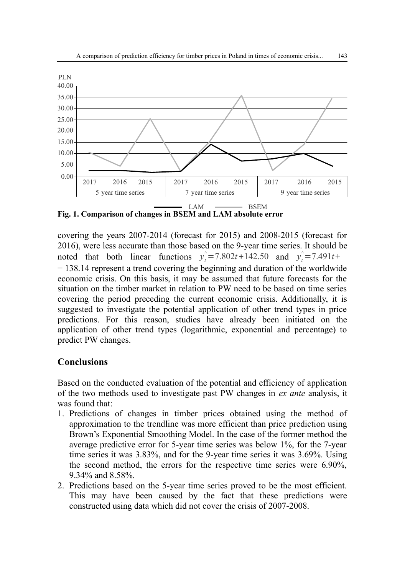

**Fig. 1. Comparison of changes in BSEM and LAM absolute error**

covering the years 2007-2014 (forecast for 2015) and 2008-2015 (forecast for 2016), were less accurate than those based on the 9-year time series. It should be noted that both linear functions  $y_t^2 = 7.802t + 142.50$  and  $y_t^2 = 7.491t +$ + 138.14 represent a trend covering the beginning and duration of the worldwide economic crisis. On this basis, it may be assumed that future forecasts for the situation on the timber market in relation to PW need to be based on time series covering the period preceding the current economic crisis. Additionally, it is suggested to investigate the potential application of other trend types in price predictions. For this reason, studies have already been initiated on the application of other trend types (logarithmic, exponential and percentage) to predict PW changes.

## **Conclusions**

Based on the conducted evaluation of the potential and efficiency of application of the two methods used to investigate past PW changes in *ex ante* analysis, it was found that:

- 1. Predictions of changes in timber prices obtained using the method of approximation to the trendline was more efficient than price prediction using Brown's Exponential Smoothing Model. In the case of the former method the average predictive error for 5-year time series was below 1%, for the 7-year time series it was 3.83%, and for the 9-year time series it was 3.69%. Using the second method, the errors for the respective time series were 6.90%, 9.34% and 8.58%.
- 2. Predictions based on the 5-year time series proved to be the most efficient. This may have been caused by the fact that these predictions were constructed using data which did not cover the crisis of 2007-2008.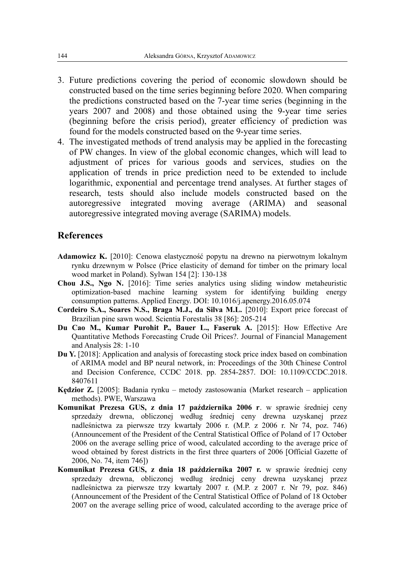- 3. Future predictions covering the period of economic slowdown should be constructed based on the time series beginning before 2020. When comparing the predictions constructed based on the 7-year time series (beginning in the years 2007 and 2008) and those obtained using the 9-year time series (beginning before the crisis period), greater efficiency of prediction was found for the models constructed based on the 9-year time series.
- 4. The investigated methods of trend analysis may be applied in the forecasting of PW changes. In view of the global economic changes, which will lead to adjustment of prices for various goods and services, studies on the application of trends in price prediction need to be extended to include logarithmic, exponential and percentage trend analyses. At further stages of research, tests should also include models constructed based on the autoregressive integrated moving average (ARIMA) and seasonal autoregressive integrated moving average (SARIMA) models.

#### **References**

- **Adamowicz K.** [2010]: Cenowa elastyczność popytu na drewno na pierwotnym lokalnym rynku drzewnym w Polsce (Price elasticity of demand for timber on the primary local wood market in Poland). Sylwan 154 [2]: 130-138
- **Chou J.S., Ngo N.** [2016]: Time series analytics using sliding window metaheuristic optimization-based machine learning system for identifying building energy consumption patterns. Applied Energy. DOI: 10.1016/j.apenergy.2016.05.074
- **Cordeiro S.A., Soares N.S., Braga M.J., da Silva M.L.** [2010]: Export price forecast of Brazilian pine sawn wood. Scientia Forestalis 38 [86]: 205-214
- **Du Cao M., Kumar Purohit P., Bauer L., Faseruk A.** [2015]: How Effective Are Quantitative Methods Forecasting Crude Oil Prices?. Journal of Financial Management and Analysis 28: 1-10
- **Du Y.** [2018]: Application and analysis of forecasting stock price index based on combination of ARIMA model and BP neural network, in: Proceedings of the 30th Chinese Control and Decision Conference, CCDC 2018. pp. 2854-2857. DOI: 10.1109/CCDC.2018. 8407611
- **Kędzior Z.** [2005]: Badania rynku metody zastosowania (Market research application methods). PWE, Warszawa
- **Komunikat Prezesa GUS, z dnia 17 października 2006 r**. w sprawie średniej ceny sprzedaży drewna, obliczonej według średniej ceny drewna uzyskanej przez nadleśnictwa za pierwsze trzy kwartały 2006 r. (M.P. z 2006 r. Nr 74, poz. 746) (Announcement of the President of the Central Statistical Office of Poland of 17 October 2006 on the average selling price of wood, calculated according to the average price of wood obtained by forest districts in the first three quarters of 2006 [Official Gazette of 2006, No. 74, item 746])
- **Komunikat Prezesa GUS, z dnia 18 października 2007 r.** w sprawie średniej ceny sprzedaży drewna, obliczonej według średniej ceny drewna uzyskanej przez nadleśnictwa za pierwsze trzy kwartały 2007 r. (M.P. z 2007 r. Nr 79, poz. 846) (Announcement of the President of the Central Statistical Office of Poland of 18 October 2007 on the average selling price of wood, calculated according to the average price of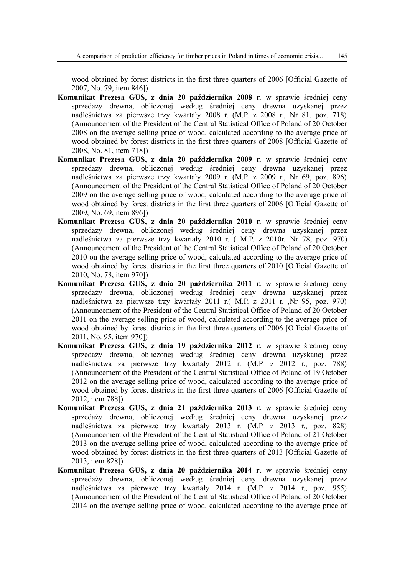wood obtained by forest districts in the first three quarters of 2006 [Official Gazette of 2007, No. 79, item 846])

- **Komunikat Prezesa GUS, z dnia 20 października 2008 r.** w sprawie średniej ceny sprzedaży drewna, obliczonej według średniej ceny drewna uzyskanej przez nadleśnictwa za pierwsze trzy kwartały 2008 r. (M.P. z 2008 r., Nr 81, poz. 718) (Announcement of the President of the Central Statistical Office of Poland of 20 October 2008 on the average selling price of wood, calculated according to the average price of wood obtained by forest districts in the first three quarters of 2008 [Official Gazette of 2008, No. 81, item 718])
- **Komunikat Prezesa GUS, z dnia 20 października 2009 r.** w sprawie średniej ceny sprzedaży drewna, obliczonej według średniej ceny drewna uzyskanej przez nadleśnictwa za pierwsze trzy kwartały 2009 r. (M.P. z 2009 r., Nr 69, poz. 896) (Announcement of the President of the Central Statistical Office of Poland of 20 October 2009 on the average selling price of wood, calculated according to the average price of wood obtained by forest districts in the first three quarters of 2006 [Official Gazette of 2009, No. 69, item 896])
- **Komunikat Prezesa GUS, z dnia 20 października 2010 r.** w sprawie średniej ceny sprzedaży drewna, obliczonej według średniej ceny drewna uzyskanej przez nadleśnictwa za pierwsze trzy kwartały 2010 r. ( M.P. z 2010r. Nr 78, poz. 970) (Announcement of the President of the Central Statistical Office of Poland of 20 October 2010 on the average selling price of wood, calculated according to the average price of wood obtained by forest districts in the first three quarters of 2010 [Official Gazette of 2010, No. 78, item 970])
- **Komunikat Prezesa GUS, z dnia 20 października 2011 r.** w sprawie średniej ceny sprzedaży drewna, obliczonej według średniej ceny drewna uzyskanej przez nadleśnictwa za pierwsze trzy kwartały 2011 r.( M.P. z 2011 r. ,Nr 95, poz. 970) (Announcement of the President of the Central Statistical Office of Poland of 20 October 2011 on the average selling price of wood, calculated according to the average price of wood obtained by forest districts in the first three quarters of 2006 [Official Gazette of 2011, No. 95, item 970])
- **Komunikat Prezesa GUS, z dnia 19 października 2012 r.** w sprawie średniej ceny sprzedaży drewna, obliczonej według średniej ceny drewna uzyskanej przez nadleśnictwa za pierwsze trzy kwartały 2012 r. (M.P. z 2012 r., poz. 788) (Announcement of the President of the Central Statistical Office of Poland of 19 October 2012 on the average selling price of wood, calculated according to the average price of wood obtained by forest districts in the first three quarters of 2006 [Official Gazette of 2012, item 788])
- **Komunikat Prezesa GUS, z dnia 21 października 2013 r.** w sprawie średniej ceny sprzedaży drewna, obliczonej według średniej ceny drewna uzyskanej przez nadleśnictwa za pierwsze trzy kwartały 2013 r. (M.P. z 2013 r., poz. 828) (Announcement of the President of the Central Statistical Office of Poland of 21 October 2013 on the average selling price of wood, calculated according to the average price of wood obtained by forest districts in the first three quarters of 2013 [Official Gazette of 2013, item 828])
- **Komunikat Prezesa GUS, z dnia 20 października 2014 r**. w sprawie średniej ceny sprzedaży drewna, obliczonej według średniej ceny drewna uzyskanej przez nadleśnictwa za pierwsze trzy kwartały 2014 r. (M.P. z 2014 r., poz. 955) (Announcement of the President of the Central Statistical Office of Poland of 20 October 2014 on the average selling price of wood, calculated according to the average price of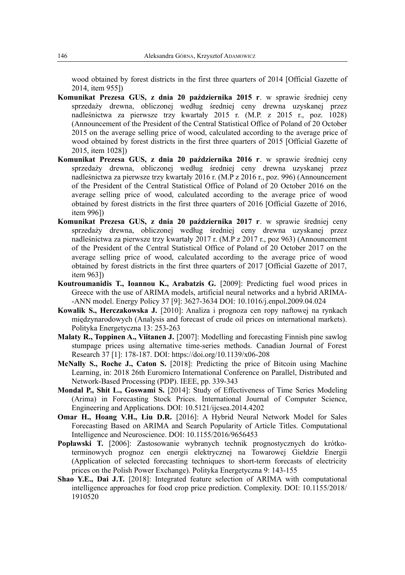wood obtained by forest districts in the first three quarters of 2014 [Official Gazette of 2014, item 955])

- **Komunikat Prezesa GUS, z dnia 20 października 2015 r**. w sprawie średniej ceny sprzedaży drewna, obliczonej według średniej ceny drewna uzyskanej przez nadleśnictwa za pierwsze trzy kwartały 2015 r. (M.P. z 2015 r., poz. 1028) (Announcement of the President of the Central Statistical Office of Poland of 20 October 2015 on the average selling price of wood, calculated according to the average price of wood obtained by forest districts in the first three quarters of 2015 [Official Gazette of 2015, item 1028])
- **Komunikat Prezesa GUS, z dnia 20 października 2016 r**. w sprawie średniej ceny sprzedaży drewna, obliczonej według średniej ceny drewna uzyskanej przez nadleśnictwa za pierwsze trzy kwartały 2016 r. (M.P z 2016 r., poz. 996) (Announcement of the President of the Central Statistical Office of Poland of 20 October 2016 on the average selling price of wood, calculated according to the average price of wood obtained by forest districts in the first three quarters of 2016 [Official Gazette of 2016, item 996])
- **Komunikat Prezesa GUS, z dnia 20 października 2017 r**. w sprawie średniej ceny sprzedaży drewna, obliczonej według średniej ceny drewna uzyskanej przez nadleśnictwa za pierwsze trzy kwartały 2017 r. (M.P z 2017 r., poz 963) (Announcement of the President of the Central Statistical Office of Poland of 20 October 2017 on the average selling price of wood, calculated according to the average price of wood obtained by forest districts in the first three quarters of 2017 [Official Gazette of 2017, item 963])
- **Koutroumanidis T., Ioannou K., Arabatzis G.** [2009]: Predicting fuel wood prices in Greece with the use of ARIMA models, artificial neural networks and a hybrid ARIMA- -ANN model. Energy Policy 37 [9]: 3627-3634 DOI: 10.1016/j.enpol.2009.04.024
- **Kowalik S., Herczakowska J.** [2010]: Analiza i prognoza cen ropy naftowej na rynkach międzynarodowych (Analysis and forecast of crude oil prices on international markets). Polityka Energetyczna 13: 253-263
- **Malaty R., Toppinen A., Viitanen J.** [2007]: Modelling and forecasting Finnish pine sawlog stumpage prices using alternative time-series methods. Canadian Journal of Forest Research 37 [1]: 178-187. DOI: https://doi.org/10.1139/x06-208
- **McNally S., Roche J., Caton S.** [2018]: Predicting the price of Bitcoin using Machine Learning, in: 2018 26th Euromicro International Conference on Parallel, Distributed and Network-Based Processing (PDP). IEEE, pp. 339-343
- **Mondal P., Shit L., Goswami S.** [2014]: Study of Effectiveness of Time Series Modeling (Arima) in Forecasting Stock Prices. International Journal of Computer Science, Engineering and Applications. DOI: 10.5121/ijcsea.2014.4202
- **Omar H., Hoang V.H., Liu D.R.** [2016]: A Hybrid Neural Network Model for Sales Forecasting Based on ARIMA and Search Popularity of Article Titles. Computational Intelligence and Neuroscience. DOI: 10.1155/2016/9656453
- **Popławski T.** [2006]: Zastosowanie wybranych technik prognostycznych do krótkoterminowych prognoz cen energii elektrycznej na Towarowej Giełdzie Energii (Application of selected forecasting techniques to short-term forecasts of electricity prices on the Polish Power Exchange). Polityka Energetyczna 9: 143-155
- **Shao Y.E., Dai J.T.** [2018]: Integrated feature selection of ARIMA with computational intelligence approaches for food crop price prediction. Complexity. DOI: 10.1155/2018/ 1910520